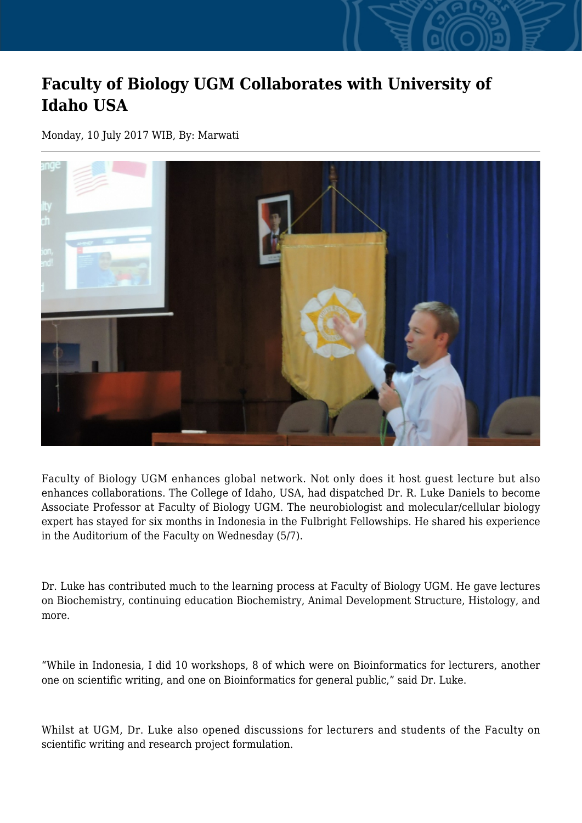## **Faculty of Biology UGM Collaborates with University of Idaho USA**

Monday, 10 July 2017 WIB, By: Marwati



Faculty of Biology UGM enhances global network. Not only does it host guest lecture but also enhances collaborations. The College of Idaho, USA, had dispatched Dr. R. Luke Daniels to become Associate Professor at Faculty of Biology UGM. The neurobiologist and molecular/cellular biology expert has stayed for six months in Indonesia in the Fulbright Fellowships. He shared his experience in the Auditorium of the Faculty on Wednesday (5/7).

Dr. Luke has contributed much to the learning process at Faculty of Biology UGM. He gave lectures on Biochemistry, continuing education Biochemistry, Animal Development Structure, Histology, and more.

"While in Indonesia, I did 10 workshops, 8 of which were on Bioinformatics for lecturers, another one on scientific writing, and one on Bioinformatics for general public," said Dr. Luke.

Whilst at UGM, Dr. Luke also opened discussions for lecturers and students of the Faculty on scientific writing and research project formulation.